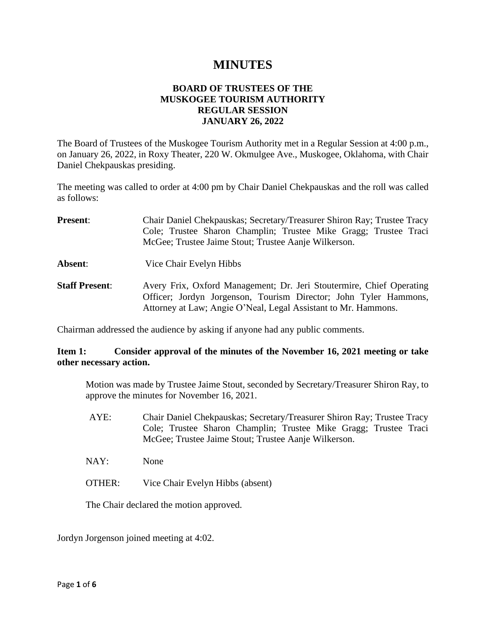# **MINUTES**

## **BOARD OF TRUSTEES OF THE MUSKOGEE TOURISM AUTHORITY REGULAR SESSION JANUARY 26, 2022**

The Board of Trustees of the Muskogee Tourism Authority met in a Regular Session at 4:00 p.m., on January 26, 2022, in Roxy Theater, 220 W. Okmulgee Ave., Muskogee, Oklahoma, with Chair Daniel Chekpauskas presiding.

The meeting was called to order at 4:00 pm by Chair Daniel Chekpauskas and the roll was called as follows:

- **Present**: Chair Daniel Chekpauskas; Secretary/Treasurer Shiron Ray; Trustee Tracy Cole; Trustee Sharon Champlin; Trustee Mike Gragg; Trustee Traci McGee; Trustee Jaime Stout; Trustee Aanje Wilkerson.
- **Absent**: Vice Chair Evelyn Hibbs
- **Staff Present**: Avery Frix, Oxford Management; Dr. Jeri Stoutermire, Chief Operating Officer; Jordyn Jorgenson, Tourism Director; John Tyler Hammons, Attorney at Law; Angie O'Neal, Legal Assistant to Mr. Hammons.

Chairman addressed the audience by asking if anyone had any public comments.

## **Item 1: Consider approval of the minutes of the November 16, 2021 meeting or take other necessary action.**

Motion was made by Trustee Jaime Stout, seconded by Secretary/Treasurer Shiron Ray, to approve the minutes for November 16, 2021.

- AYE: Chair Daniel Chekpauskas; Secretary/Treasurer Shiron Ray; Trustee Tracy Cole; Trustee Sharon Champlin; Trustee Mike Gragg; Trustee Traci McGee; Trustee Jaime Stout; Trustee Aanje Wilkerson.
- NAY: None
- OTHER: Vice Chair Evelyn Hibbs (absent)

The Chair declared the motion approved.

Jordyn Jorgenson joined meeting at 4:02.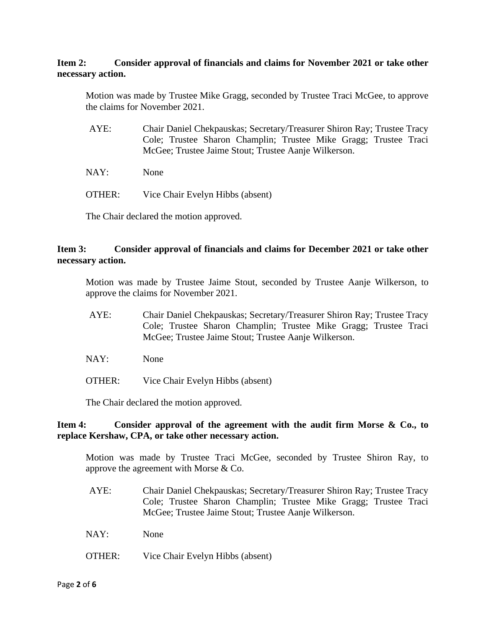## **Item 2: Consider approval of financials and claims for November 2021 or take other necessary action.**

Motion was made by Trustee Mike Gragg, seconded by Trustee Traci McGee, to approve the claims for November 2021.

- AYE: Chair Daniel Chekpauskas; Secretary/Treasurer Shiron Ray; Trustee Tracy Cole; Trustee Sharon Champlin; Trustee Mike Gragg; Trustee Traci McGee; Trustee Jaime Stout; Trustee Aanje Wilkerson.
- NAY: None
- OTHER: Vice Chair Evelyn Hibbs (absent)

The Chair declared the motion approved.

#### **Item 3: Consider approval of financials and claims for December 2021 or take other necessary action.**

Motion was made by Trustee Jaime Stout, seconded by Trustee Aanje Wilkerson, to approve the claims for November 2021.

- AYE: Chair Daniel Chekpauskas; Secretary/Treasurer Shiron Ray; Trustee Tracy Cole; Trustee Sharon Champlin; Trustee Mike Gragg; Trustee Traci McGee; Trustee Jaime Stout; Trustee Aanje Wilkerson.
- NAY: None
- OTHER: Vice Chair Evelyn Hibbs (absent)

The Chair declared the motion approved.

## **Item 4: Consider approval of the agreement with the audit firm Morse & Co., to replace Kershaw, CPA, or take other necessary action.**

Motion was made by Trustee Traci McGee, seconded by Trustee Shiron Ray, to approve the agreement with Morse & Co.

- AYE: Chair Daniel Chekpauskas; Secretary/Treasurer Shiron Ray; Trustee Tracy Cole; Trustee Sharon Champlin; Trustee Mike Gragg; Trustee Traci McGee; Trustee Jaime Stout; Trustee Aanje Wilkerson.
- NAY: None
- OTHER: Vice Chair Evelyn Hibbs (absent)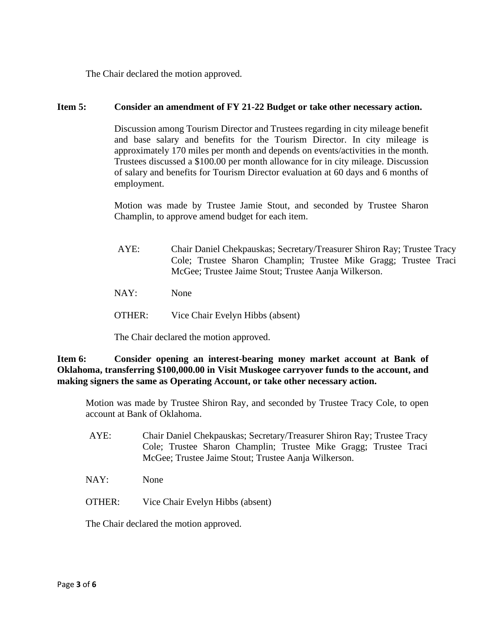The Chair declared the motion approved.

#### **Item 5: Consider an amendment of FY 21-22 Budget or take other necessary action.**

Discussion among Tourism Director and Trustees regarding in city mileage benefit and base salary and benefits for the Tourism Director. In city mileage is approximately 170 miles per month and depends on events/activities in the month. Trustees discussed a \$100.00 per month allowance for in city mileage. Discussion of salary and benefits for Tourism Director evaluation at 60 days and 6 months of employment.

Motion was made by Trustee Jamie Stout, and seconded by Trustee Sharon Champlin, to approve amend budget for each item.

- AYE: Chair Daniel Chekpauskas; Secretary/Treasurer Shiron Ray; Trustee Tracy Cole; Trustee Sharon Champlin; Trustee Mike Gragg; Trustee Traci McGee; Trustee Jaime Stout; Trustee Aanja Wilkerson.
- NAY: None
- OTHER: Vice Chair Evelyn Hibbs (absent)

The Chair declared the motion approved.

**Item 6: Consider opening an interest-bearing money market account at Bank of Oklahoma, transferring \$100,000.00 in Visit Muskogee carryover funds to the account, and making signers the same as Operating Account, or take other necessary action.**

Motion was made by Trustee Shiron Ray, and seconded by Trustee Tracy Cole, to open account at Bank of Oklahoma.

- AYE: Chair Daniel Chekpauskas; Secretary/Treasurer Shiron Ray; Trustee Tracy Cole; Trustee Sharon Champlin; Trustee Mike Gragg; Trustee Traci McGee; Trustee Jaime Stout; Trustee Aanja Wilkerson.
- NAY: None
- OTHER: Vice Chair Evelyn Hibbs (absent)

The Chair declared the motion approved.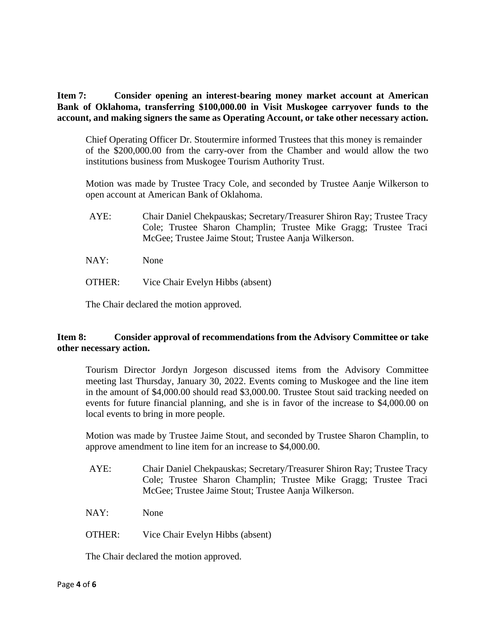**Item 7: Consider opening an interest-bearing money market account at American Bank of Oklahoma, transferring \$100,000.00 in Visit Muskogee carryover funds to the account, and making signers the same as Operating Account, or take other necessary action.**

Chief Operating Officer Dr. Stoutermire informed Trustees that this money is remainder of the \$200,000.00 from the carry-over from the Chamber and would allow the two institutions business from Muskogee Tourism Authority Trust.

Motion was made by Trustee Tracy Cole, and seconded by Trustee Aanje Wilkerson to open account at American Bank of Oklahoma.

- AYE: Chair Daniel Chekpauskas; Secretary/Treasurer Shiron Ray; Trustee Tracy Cole; Trustee Sharon Champlin; Trustee Mike Gragg; Trustee Traci McGee; Trustee Jaime Stout; Trustee Aanja Wilkerson.
- NAY: None
- OTHER: Vice Chair Evelyn Hibbs (absent)

The Chair declared the motion approved.

## **Item 8: Consider approval of recommendations from the Advisory Committee or take other necessary action.**

Tourism Director Jordyn Jorgeson discussed items from the Advisory Committee meeting last Thursday, January 30, 2022. Events coming to Muskogee and the line item in the amount of \$4,000.00 should read \$3,000.00. Trustee Stout said tracking needed on events for future financial planning, and she is in favor of the increase to \$4,000.00 on local events to bring in more people.

Motion was made by Trustee Jaime Stout, and seconded by Trustee Sharon Champlin, to approve amendment to line item for an increase to \$4,000.00.

- AYE: Chair Daniel Chekpauskas; Secretary/Treasurer Shiron Ray; Trustee Tracy Cole; Trustee Sharon Champlin; Trustee Mike Gragg; Trustee Traci McGee; Trustee Jaime Stout; Trustee Aanja Wilkerson.
- NAY: None
- OTHER: Vice Chair Evelyn Hibbs (absent)

The Chair declared the motion approved.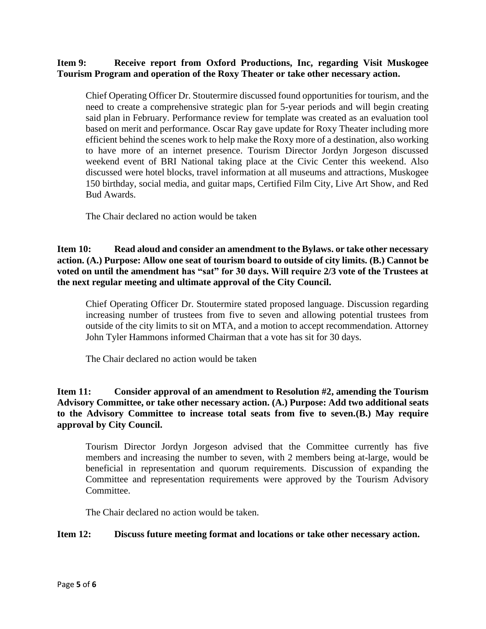## **Item 9: Receive report from Oxford Productions, Inc, regarding Visit Muskogee Tourism Program and operation of the Roxy Theater or take other necessary action.**

Chief Operating Officer Dr. Stoutermire discussed found opportunities for tourism, and the need to create a comprehensive strategic plan for 5-year periods and will begin creating said plan in February. Performance review for template was created as an evaluation tool based on merit and performance. Oscar Ray gave update for Roxy Theater including more efficient behind the scenes work to help make the Roxy more of a destination, also working to have more of an internet presence. Tourism Director Jordyn Jorgeson discussed weekend event of BRI National taking place at the Civic Center this weekend. Also discussed were hotel blocks, travel information at all museums and attractions, Muskogee 150 birthday, social media, and guitar maps, Certified Film City, Live Art Show, and Red Bud Awards.

The Chair declared no action would be taken

## **Item 10: Read aloud and consider an amendment to the Bylaws. or take other necessary action. (A.) Purpose: Allow one seat of tourism board to outside of city limits. (B.) Cannot be voted on until the amendment has "sat" for 30 days. Will require 2/3 vote of the Trustees at the next regular meeting and ultimate approval of the City Council.**

Chief Operating Officer Dr. Stoutermire stated proposed language. Discussion regarding increasing number of trustees from five to seven and allowing potential trustees from outside of the city limits to sit on MTA, and a motion to accept recommendation. Attorney John Tyler Hammons informed Chairman that a vote has sit for 30 days.

The Chair declared no action would be taken

## **Item 11: Consider approval of an amendment to Resolution #2, amending the Tourism Advisory Committee, or take other necessary action. (A.) Purpose: Add two additional seats to the Advisory Committee to increase total seats from five to seven.(B.) May require approval by City Council.**

Tourism Director Jordyn Jorgeson advised that the Committee currently has five members and increasing the number to seven, with 2 members being at-large, would be beneficial in representation and quorum requirements. Discussion of expanding the Committee and representation requirements were approved by the Tourism Advisory Committee.

The Chair declared no action would be taken.

## **Item 12: Discuss future meeting format and locations or take other necessary action.**